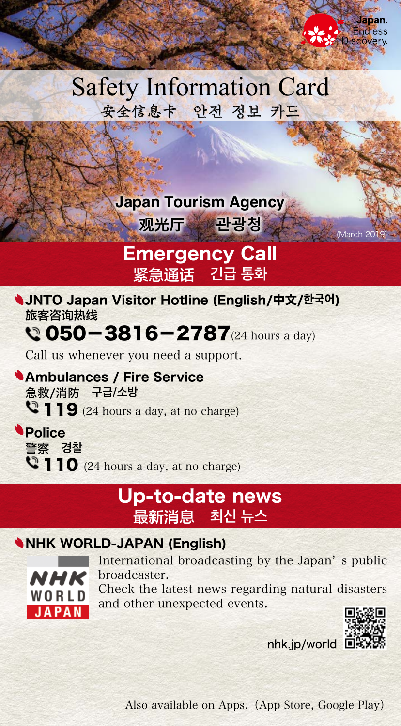# **Safety Information Card** 安全信息卡 안전 정보 카드

**Japan Tourism Agency** 

(2019 March (**관광청** 观光厅

## **Emergency Call** 紧急通话 긴급 통화

**JNTO Japan Visitor Hotline (English/中文/한국어)** 旅客咨询热线

# $Q$  050-3816-2787 $(24 \text{ hours a day})$

Call us whenever you need a support.

**Ambulances / Fire Service** 急救/消防 구급/소방  $\mathbf{Q}$  119 (24 hours a day, at no charge)

**Police** 警察 경찰  $\bullet$  110 (24 hours a day, at no charge)

### Up-to-date news **뉴스 최신** 最新消息

#### **NHK WORLD-JAPAN (English)**



International broadcasting by the Japan's public .broadcaster Check the latest news regarding natural disasters and other unexpected events.



 $nhk.in/world$ 

Also available on Apps. (App Store, Google Play)